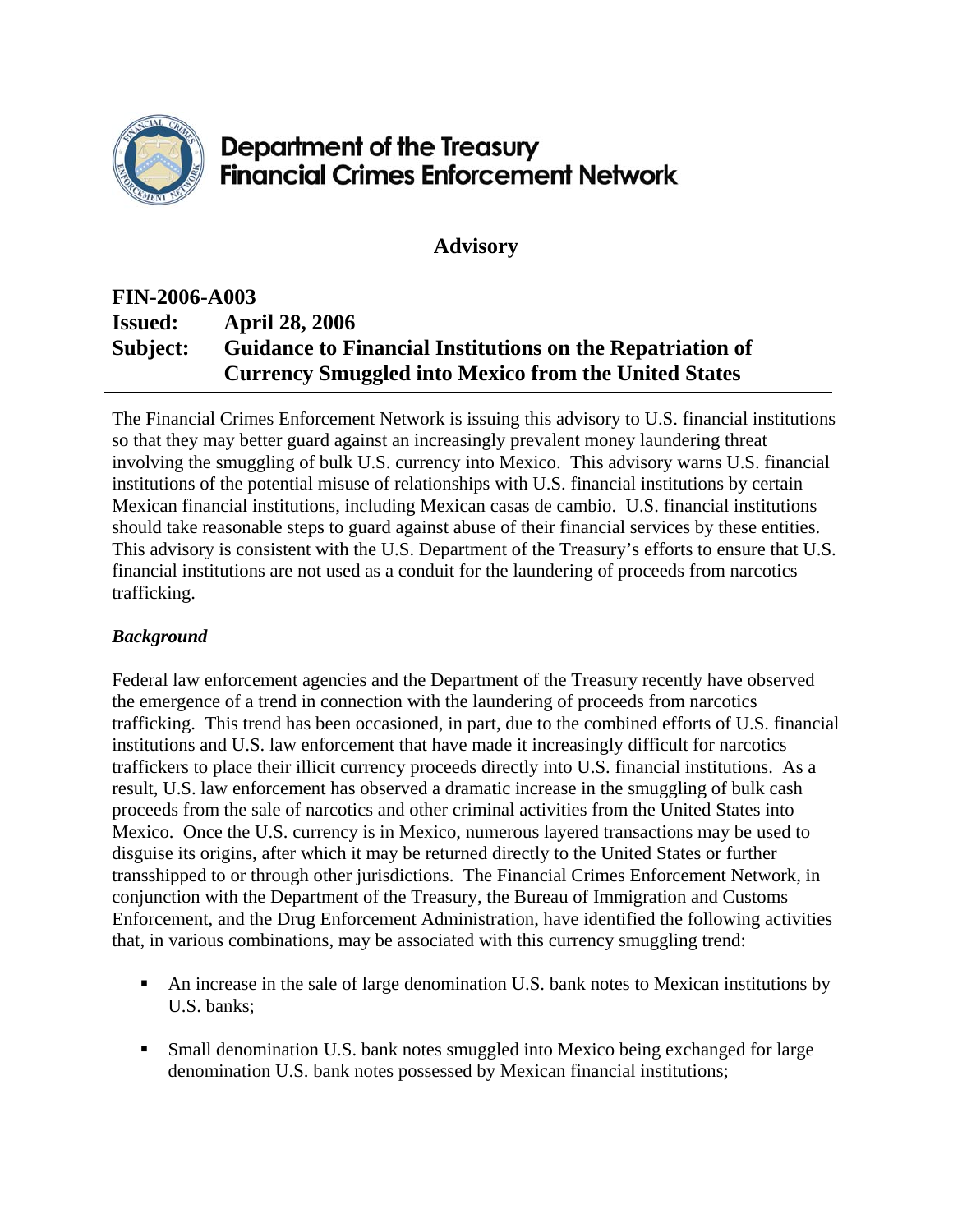

## Department of the Treasury **Financial Crimes Enforcement Network**

**Advisory** 

## **FIN-2006-A003 Issued: April 28, 2006 Subject: Guidance to Financial Institutions on the Repatriation of Currency Smuggled into Mexico from the United States**

The Financial Crimes Enforcement Network is issuing this advisory to U.S. financial institutions so that they may better guard against an increasingly prevalent money laundering threat involving the smuggling of bulk U.S. currency into Mexico. This advisory warns U.S. financial institutions of the potential misuse of relationships with U.S. financial institutions by certain Mexican financial institutions, including Mexican casas de cambio. U.S. financial institutions should take reasonable steps to guard against abuse of their financial services by these entities. This advisory is consistent with the U.S. Department of the Treasury's efforts to ensure that U.S. financial institutions are not used as a conduit for the laundering of proceeds from narcotics trafficking.

## *Background*

Federal law enforcement agencies and the Department of the Treasury recently have observed the emergence of a trend in connection with the laundering of proceeds from narcotics trafficking. This trend has been occasioned, in part, due to the combined efforts of U.S. financial institutions and U.S. law enforcement that have made it increasingly difficult for narcotics traffickers to place their illicit currency proceeds directly into U.S. financial institutions. As a result, U.S. law enforcement has observed a dramatic increase in the smuggling of bulk cash proceeds from the sale of narcotics and other criminal activities from the United States into Mexico. Once the U.S. currency is in Mexico, numerous layered transactions may be used to disguise its origins, after which it may be returned directly to the United States or further transshipped to or through other jurisdictions. The Financial Crimes Enforcement Network, in conjunction with the Department of the Treasury, the Bureau of Immigration and Customs Enforcement, and the Drug Enforcement Administration, have identified the following activities that, in various combinations, may be associated with this currency smuggling trend:

- An increase in the sale of large denomination U.S. bank notes to Mexican institutions by U.S. banks;
- Small denomination U.S. bank notes smuggled into Mexico being exchanged for large denomination U.S. bank notes possessed by Mexican financial institutions;